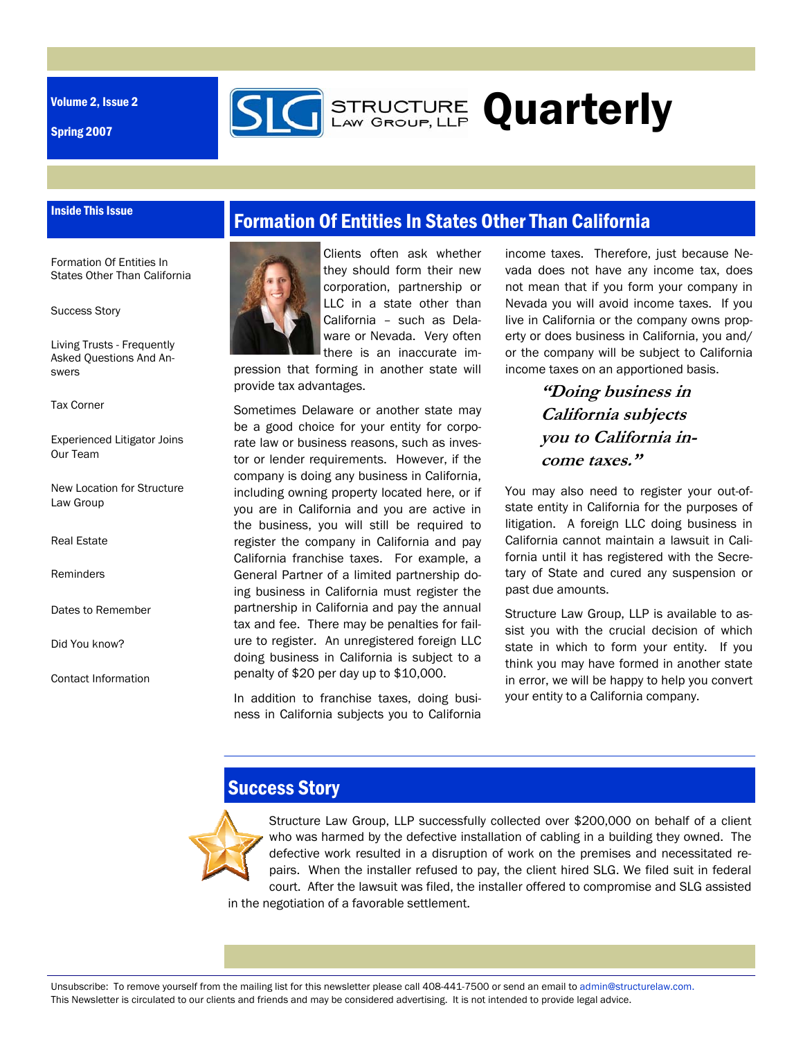Volume 2, Issue 2

Spring 2007



#### Inside This Issue

Formation Of Entities In States Other Than California

Success Story

Living Trusts - Frequently Asked Questions And Answers

Tax Corner

Experienced Litigator Joins Our Team

New Location for Structure Law Group

Real Estate

Reminders

Dates to Remember

Did You know?

Contact Information

## Formation Of Entities In States Other Than California



Clients often ask whether they should form their new corporation, partnership or LLC in a state other than California – such as Delaware or Nevada. Very often there is an inaccurate im-

pression that forming in another state will provide tax advantages.

Sometimes Delaware or another state may be a good choice for your entity for corporate law or business reasons, such as investor or lender requirements. However, if the company is doing any business in California, including owning property located here, or if you are in California and you are active in the business, you will still be required to register the company in California and pay California franchise taxes. For example, a General Partner of a limited partnership doing business in California must register the partnership in California and pay the annual tax and fee. There may be penalties for failure to register. An unregistered foreign LLC doing business in California is subject to a penalty of \$20 per day up to \$10,000.

In addition to franchise taxes, doing business in California subjects you to California

income taxes. Therefore, just because Nevada does not have any income tax, does not mean that if you form your company in Nevada you will avoid income taxes. If you live in California or the company owns property or does business in California, you and/ or the company will be subject to California income taxes on an apportioned basis.

## **"Doing business in California subjects you to California income taxes."**

You may also need to register your out-ofstate entity in California for the purposes of litigation. A foreign LLC doing business in California cannot maintain a lawsuit in California until it has registered with the Secretary of State and cured any suspension or past due amounts.

Structure Law Group, LLP is available to assist you with the crucial decision of which state in which to form your entity. If you think you may have formed in another state in error, we will be happy to help you convert your entity to a California company.

## Success Story



Structure Law Group, LLP successfully collected over \$200,000 on behalf of a client who was harmed by the defective installation of cabling in a building they owned. The defective work resulted in a disruption of work on the premises and necessitated repairs. When the installer refused to pay, the client hired SLG. We filed suit in federal court. After the lawsuit was filed, the installer offered to compromise and SLG assisted in the negotiation of a favorable settlement.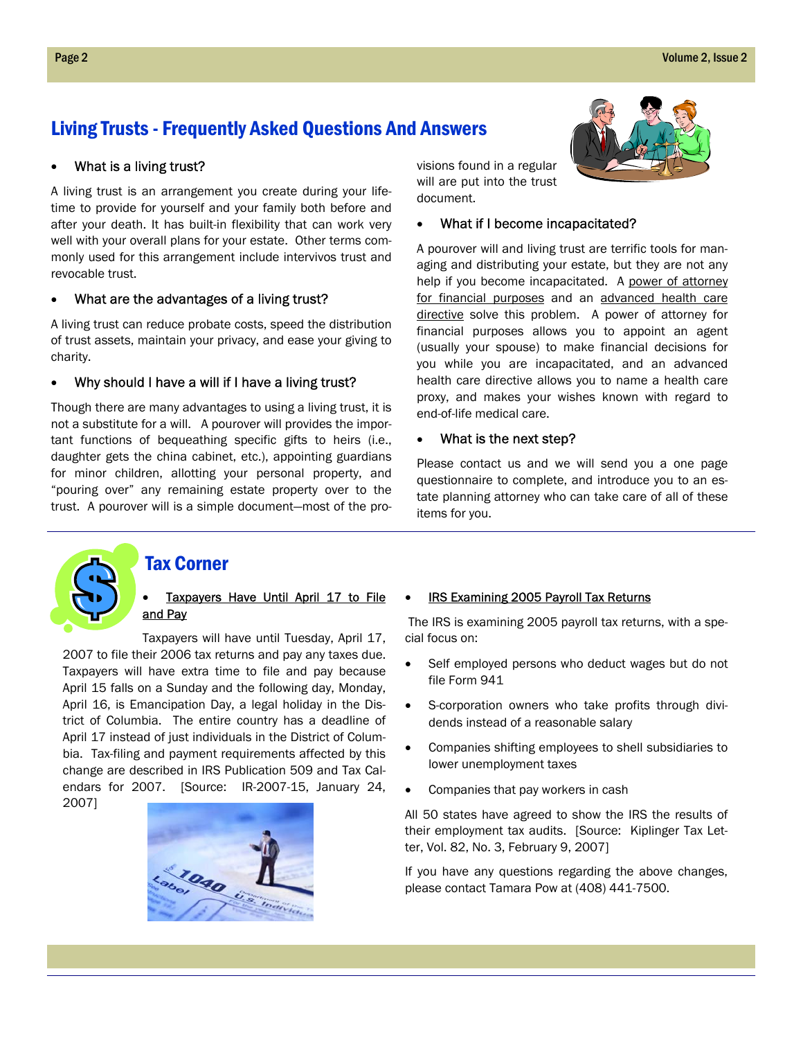## Living Trusts - Frequently Asked Questions And Answers

### • What is a living trust?

A living trust is an arrangement you create during your lifetime to provide for yourself and your family both before and after your death. It has built-in flexibility that can work very well with your overall plans for your estate. Other terms commonly used for this arrangement include intervivos trust and revocable trust.

### • What are the advantages of a living trust?

A living trust can reduce probate costs, speed the distribution of trust assets, maintain your privacy, and ease your giving to charity.

#### • Why should I have a will if I have a living trust?

Though there are many advantages to using a living trust, it is not a substitute for a will. A pourover will provides the important functions of bequeathing specific gifts to heirs (i.e., daughter gets the china cabinet, etc.), appointing guardians for minor children, allotting your personal property, and "pouring over" any remaining estate property over to the trust. A pourover will is a simple document—most of the provisions found in a regular will are put into the trust document.

#### • What if I become incapacitated?

A pourover will and living trust are terrific tools for managing and distributing your estate, but they are not any help if you become incapacitated. A power of attorney for financial purposes and an advanced health care directive solve this problem. A power of attorney for financial purposes allows you to appoint an agent (usually your spouse) to make financial decisions for you while you are incapacitated, and an advanced health care directive allows you to name a health care proxy, and makes your wishes known with regard to end-of-life medical care.

### • What is the next step?

Please contact us and we will send you a one page questionnaire to complete, and introduce you to an estate planning attorney who can take care of all of these items for you.



### Tax Corner

### Taxpayers Have Until April 17 to File and Pay

Taxpayers will have until Tuesday, April 17, 2007 to file their 2006 tax returns and pay any taxes due. Taxpayers will have extra time to file and pay because April 15 falls on a Sunday and the following day, Monday, April 16, is Emancipation Day, a legal holiday in the District of Columbia. The entire country has a deadline of April 17 instead of just individuals in the District of Columbia. Tax-filing and payment requirements affected by this change are described in IRS Publication 509 and Tax Calendars for 2007. [Source: IR-2007-15, January 24, 2007]



#### IRS Examining 2005 Payroll Tax Returns

 The IRS is examining 2005 payroll tax returns, with a special focus on:

- Self employed persons who deduct wages but do not file Form 941
- S-corporation owners who take profits through dividends instead of a reasonable salary
- Companies shifting employees to shell subsidiaries to lower unemployment taxes
- Companies that pay workers in cash

All 50 states have agreed to show the IRS the results of their employment tax audits. [Source: Kiplinger Tax Letter, Vol. 82, No. 3, February 9, 2007]

If you have any questions regarding the above changes, please contact Tamara Pow at (408) 441-7500.

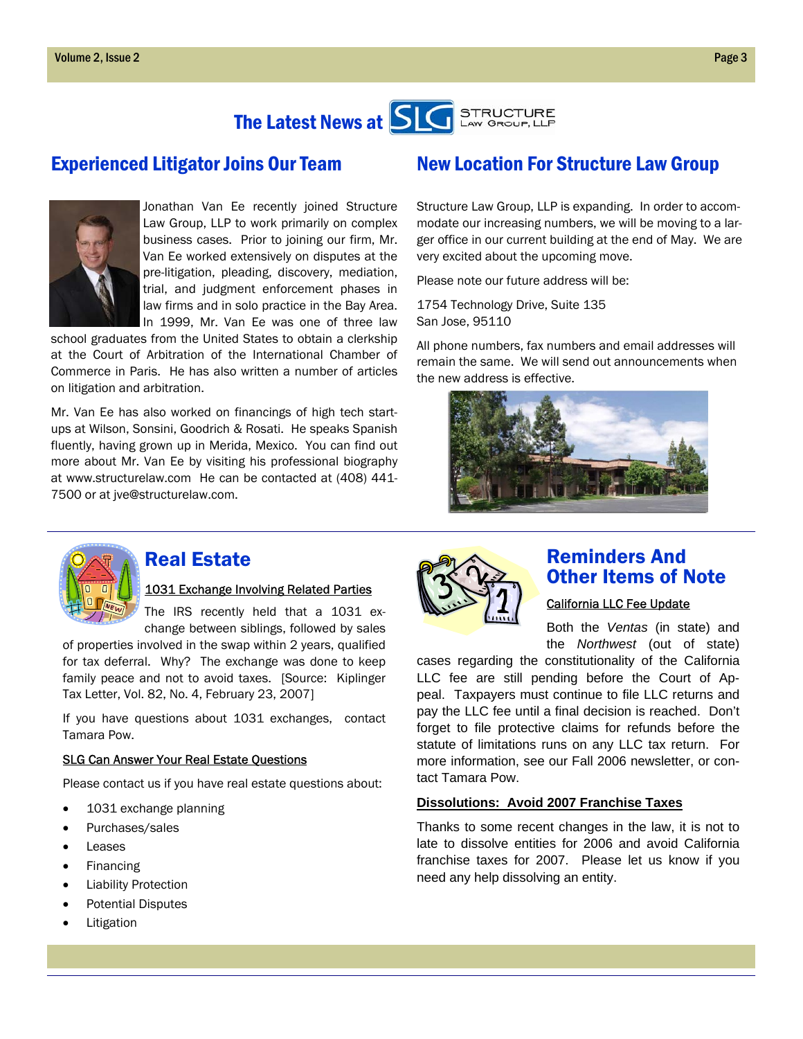

### Experienced Litigator Joins Our Team



Jonathan Van Ee recently joined Structure Law Group, LLP to work primarily on complex business cases. Prior to joining our firm, Mr. Van Ee worked extensively on disputes at the pre-litigation, pleading, discovery, mediation, trial, and judgment enforcement phases in law firms and in solo practice in the Bay Area. In 1999, Mr. Van Ee was one of three law

school graduates from the United States to obtain a clerkship at the Court of Arbitration of the International Chamber of Commerce in Paris. He has also written a number of articles on litigation and arbitration.

Mr. Van Ee has also worked on financings of high tech startups at Wilson, Sonsini, Goodrich & Rosati. He speaks Spanish fluently, having grown up in Merida, Mexico. You can find out more about Mr. Van Ee by visiting his professional biography at www.structurelaw.com He can be contacted at (408) 441- 7500 or at jve@structurelaw.com.

## New Location For Structure Law Group

Structure Law Group, LLP is expanding. In order to accommodate our increasing numbers, we will be moving to a larger office in our current building at the end of May. We are very excited about the upcoming move.

Please note our future address will be:

1754 Technology Drive, Suite 135 San Jose, 95110

All phone numbers, fax numbers and email addresses will remain the same. We will send out announcements when the new address is effective.





### Real Estate

### 1031 Exchange Involving Related Parties

The IRS recently held that a 1031 exchange between siblings, followed by sales

of properties involved in the swap within 2 years, qualified for tax deferral. Why? The exchange was done to keep family peace and not to avoid taxes. [Source: Kiplinger Tax Letter, Vol. 82, No. 4, February 23, 2007]

If you have questions about 1031 exchanges, contact Tamara Pow.

#### SLG Can Answer Your Real Estate Questions

Please contact us if you have real estate questions about:

- 1031 exchange planning
- Purchases/sales
- Leases
- **Financing**
- Liability Protection
- Potential Disputes
- **Litigation**



### Reminders And Other Items of Note

### California LLC Fee Update

Both the *Ventas* (in state) and the *Northwest* (out of state)

cases regarding the constitutionality of the California LLC fee are still pending before the Court of Appeal. Taxpayers must continue to file LLC returns and pay the LLC fee until a final decision is reached. Don't forget to file protective claims for refunds before the statute of limitations runs on any LLC tax return. For more information, see our Fall 2006 newsletter, or contact Tamara Pow.

### **Dissolutions: Avoid 2007 Franchise Taxes**

Thanks to some recent changes in the law, it is not to late to dissolve entities for 2006 and avoid California franchise taxes for 2007. Please let us know if you need any help dissolving an entity.